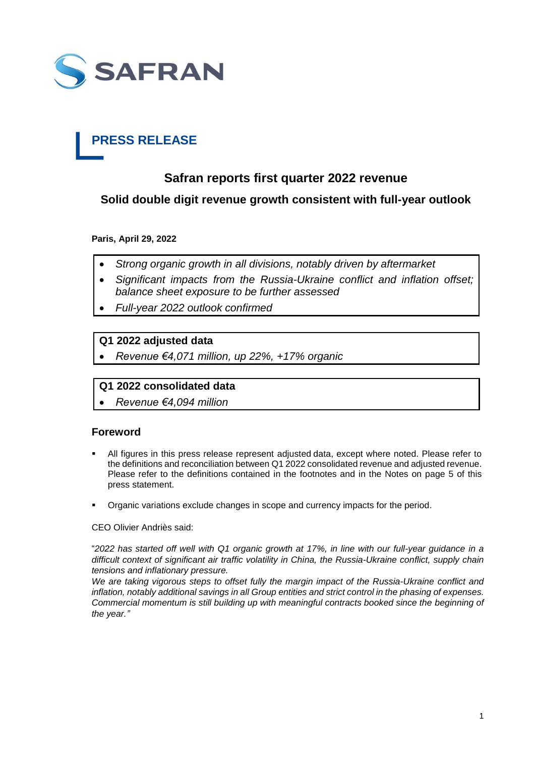

# **PRESS RELEASE**

# **Safran reports first quarter 2022 revenue**

**Solid double digit revenue growth consistent with full-year outlook**

**Paris, April 29, 2022**

- *Strong organic growth in all divisions, notably driven by aftermarket*
- *Significant impacts from the Russia-Ukraine conflict and inflation offset; balance sheet exposure to be further assessed*
- *Full-year 2022 outlook confirmed*

# **Q1 2022 adjusted data**

*Revenue €4,071 million, up 22%, +17% organic* 

# **Q1 2022 consolidated data**

*Revenue €4,094 million*

## **Foreword**

- All figures in this press release represent adjusted data, except where noted. Please refer to the definitions and reconciliation between Q1 2022 consolidated revenue and adjusted revenue. Please refer to the definitions contained in the footnotes and in the Notes on page 5 of this press statement.
- Organic variations exclude changes in scope and currency impacts for the period.

CEO Olivier Andriès said:

"*2022 has started off well with Q1 organic growth at 17%, in line with our full-year guidance in a difficult context of significant air traffic volatility in China, the Russia-Ukraine conflict, supply chain tensions and inflationary pressure.* 

*We are taking vigorous steps to offset fully the margin impact of the Russia-Ukraine conflict and inflation, notably additional savings in all Group entities and strict control in the phasing of expenses. Commercial momentum is still building up with meaningful contracts booked since the beginning of the year."*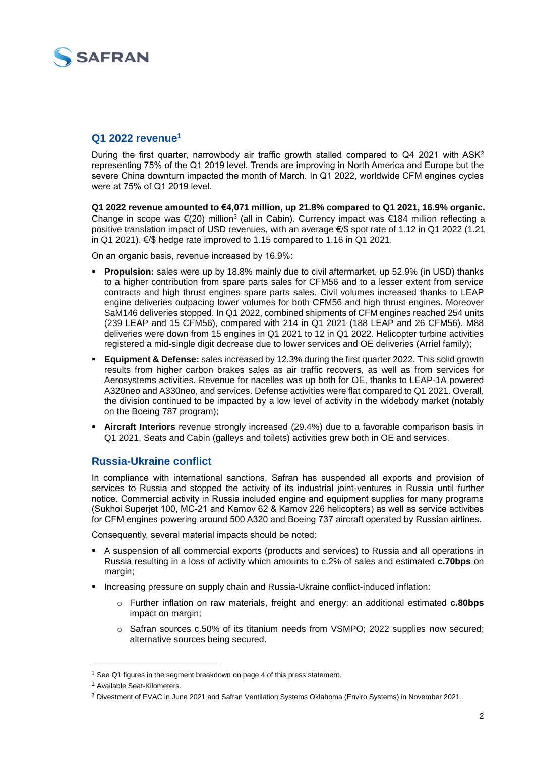

## **Q1 2022 revenue<sup>1</sup>**

During the first quarter, narrowbody air traffic growth stalled compared to Q4 2021 with ASK<sup>2</sup> representing 75% of the Q1 2019 level. Trends are improving in North America and Europe but the severe China downturn impacted the month of March. In Q1 2022, worldwide CFM engines cycles were at 75% of Q1 2019 level.

**Q1 2022 revenue amounted to €4,071 million, up 21.8% compared to Q1 2021, 16.9% organic.**  Change in scope was €(20) million<sup>3</sup> (all in Cabin). Currency impact was €184 million reflecting a positive translation impact of USD revenues, with an average €/\$ spot rate of 1.12 in Q1 2022 (1.21 in Q1 2021). €/\$ hedge rate improved to 1.15 compared to 1.16 in Q1 2021.

On an organic basis, revenue increased by 16.9%:

- **Propulsion:** sales were up by 18.8% mainly due to civil aftermarket, up 52.9% (in USD) thanks to a higher contribution from spare parts sales for CFM56 and to a lesser extent from service contracts and high thrust engines spare parts sales. Civil volumes increased thanks to LEAP engine deliveries outpacing lower volumes for both CFM56 and high thrust engines. Moreover SaM146 deliveries stopped. In Q1 2022, combined shipments of CFM engines reached 254 units (239 LEAP and 15 CFM56), compared with 214 in Q1 2021 (188 LEAP and 26 CFM56). M88 deliveries were down from 15 engines in Q1 2021 to 12 in Q1 2022. Helicopter turbine activities registered a mid-single digit decrease due to lower services and OE deliveries (Arriel family);
- **Equipment & Defense:** sales increased by 12.3% during the first quarter 2022. This solid growth results from higher carbon brakes sales as air traffic recovers, as well as from services for Aerosystems activities. Revenue for nacelles was up both for OE, thanks to LEAP-1A powered A320neo and A330neo, and services. Defense activities were flat compared to Q1 2021. Overall, the division continued to be impacted by a low level of activity in the widebody market (notably on the Boeing 787 program);
- **Aircraft Interiors** revenue strongly increased (29.4%) due to a favorable comparison basis in Q1 2021, Seats and Cabin (galleys and toilets) activities grew both in OE and services.

# **Russia-Ukraine conflict**

In compliance with international sanctions, Safran has suspended all exports and provision of services to Russia and stopped the activity of its industrial joint-ventures in Russia until further notice. Commercial activity in Russia included engine and equipment supplies for many programs (Sukhoi Superjet 100, MC-21 and Kamov 62 & Kamov 226 helicopters) as well as service activities for CFM engines powering around 500 A320 and Boeing 737 aircraft operated by Russian airlines.

Consequently, several material impacts should be noted:

- A suspension of all commercial exports (products and services) to Russia and all operations in Russia resulting in a loss of activity which amounts to c.2% of sales and estimated **c.70bps** on margin:
- Increasing pressure on supply chain and Russia-Ukraine conflict-induced inflation:
	- o Further inflation on raw materials, freight and energy: an additional estimated **c.80bps** impact on margin;
	- o Safran sources c.50% of its titanium needs from VSMPO; 2022 supplies now secured; alternative sources being secured.

-

 $1$  See Q1 figures in the segment breakdown on page 4 of this press statement.

<sup>2</sup> Available Seat-Kilometers.

<sup>3</sup> Divestment of EVAC in June 2021 and Safran Ventilation Systems Oklahoma (Enviro Systems) in November 2021.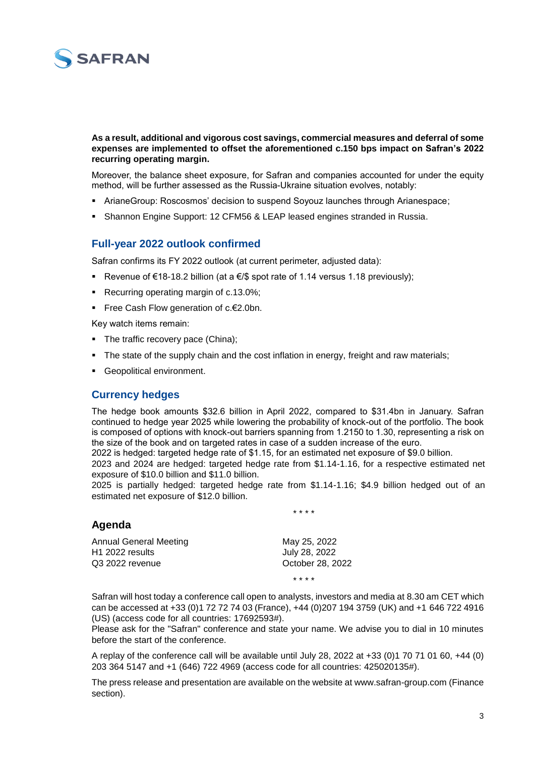

#### **As a result, additional and vigorous cost savings, commercial measures and deferral of some expenses are implemented to offset the aforementioned c.150 bps impact on Safran's 2022 recurring operating margin.**

Moreover, the balance sheet exposure, for Safran and companies accounted for under the equity method, will be further assessed as the Russia-Ukraine situation evolves, notably:

- ArianeGroup: Roscosmos' decision to suspend Soyouz launches through Arianespace;
- Shannon Engine Support: 12 CFM56 & LEAP leased engines stranded in Russia.

# **Full-year 2022 outlook confirmed**

Safran confirms its FY 2022 outlook (at current perimeter, adjusted data):

- Revenue of €18-18.2 billion (at a €/\$ spot rate of 1.14 versus 1.18 previously);
- Recurring operating margin of c.13.0%;
- Free Cash Flow generation of c.€2.0bn.

Key watch items remain:

- The traffic recovery pace (China);
- The state of the supply chain and the cost inflation in energy, freight and raw materials;
- Geopolitical environment.

#### **Currency hedges**

The hedge book amounts \$32.6 billion in April 2022, compared to \$31.4bn in January. Safran continued to hedge year 2025 while lowering the probability of knock-out of the portfolio. The book is composed of options with knock-out barriers spanning from 1.2150 to 1.30, representing a risk on the size of the book and on targeted rates in case of a sudden increase of the euro.

2022 is hedged: targeted hedge rate of \$1.15, for an estimated net exposure of \$9.0 billion.

2023 and 2024 are hedged: targeted hedge rate from \$1.14-1.16, for a respective estimated net exposure of \$10.0 billion and \$11.0 billion.

2025 is partially hedged: targeted hedge rate from \$1.14-1.16; \$4.9 billion hedged out of an estimated net exposure of \$12.0 billion.

\* \* \* \*

\* \* \* \*

#### **Agenda**

| May 25, 2022     |
|------------------|
| July 28, 2022    |
| October 28, 2022 |
|                  |

Safran will host today a conference call open to analysts, investors and media at 8.30 am CET which can be accessed at +33 (0)1 72 72 74 03 (France), +44 (0)207 194 3759 (UK) and +1 646 722 4916 (US) (access code for all countries: 17692593#).

Please ask for the "Safran" conference and state your name. We advise you to dial in 10 minutes before the start of the conference.

A replay of the conference call will be available until July 28, 2022 at +33 (0)1 70 71 01 60, +44 (0) 203 364 5147 and +1 (646) 722 4969 (access code for all countries: 425020135#).

The press release and presentation are available on the website at www.safran-group.com (Finance section).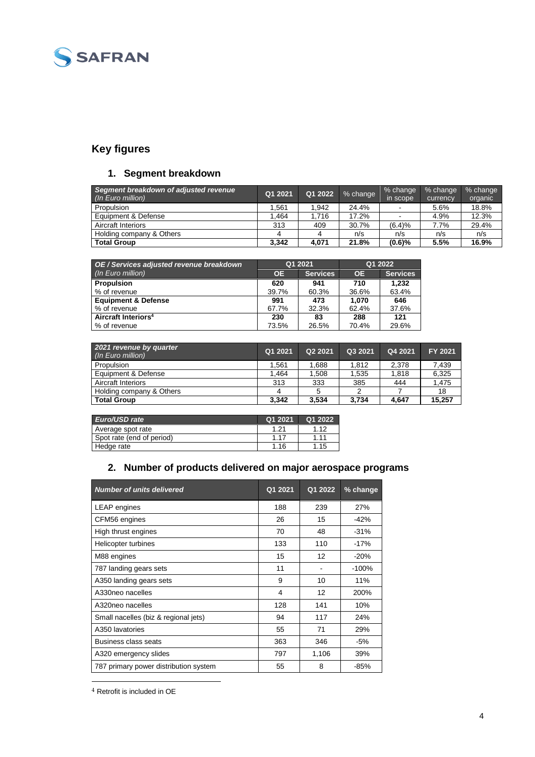

# **Key figures**

# **1. Segment breakdown**

| Segment breakdown of adjusted revenue<br>(In Euro million) | Q1 2021 | Q1 2022 | % change | % change<br>in scope     | % change<br>currency | % change<br>organic |
|------------------------------------------------------------|---------|---------|----------|--------------------------|----------------------|---------------------|
| Propulsion                                                 | .561    | .942    | 24.4%    | $\,$                     | 5.6%                 | 18.8%               |
| Equipment & Defense                                        | .464    | 1.716   | 17.2%    | $\overline{\phantom{a}}$ | 4.9%                 | 12.3%               |
| <b>Aircraft Interiors</b>                                  | 313     | 409     | 30.7%    | (6.4)%                   | 7.7%                 | 29.4%               |
| Holding company & Others                                   |         |         | n/s      | n/s                      | n/s                  | n/s                 |
| <b>Total Group</b>                                         | 3.342   | 4.071   | 21.8%    | (0.6)%                   | 5.5%                 | 16.9%               |

| OE / Services adjusted revenue breakdown |           | Q1 2021         | Q1 2022   |                 |  |
|------------------------------------------|-----------|-----------------|-----------|-----------------|--|
| (In Euro million)                        | <b>OE</b> | <b>Services</b> | <b>OE</b> | <b>Services</b> |  |
| <b>Propulsion</b>                        | 620       | 941             | 710       | 1.232           |  |
| % of revenue                             | 39.7%     | 60.3%           | 36.6%     | 63.4%           |  |
| <b>Equipment &amp; Defense</b>           | 991       | 473             | 1.070     | 646             |  |
| % of revenue                             | 67.7%     | 32.3%           | 62.4%     | 37.6%           |  |
| Aircraft Interiors <sup>4</sup>          | 230       | 83              | 288       | 121             |  |
| ■% of revenue                            | 73.5%     | 26.5%           | 70.4%     | 29.6%           |  |

| 2021 revenue by quarter<br>(In Euro million) | Q1 2021 | Q2 2021 | Q3 2021 | Q4 2021 | FY 2021 |
|----------------------------------------------|---------|---------|---------|---------|---------|
| Propulsion                                   | .561    | .688    | 1.812   | 2.378   | 7.439   |
| Equipment & Defense                          | .464    | .508    | 1.535   | 1.818   | 6,325   |
| <b>Aircraft Interiors</b>                    | 313     | 333     | 385     | 444     | 1.475   |
| Holding company & Others                     |         |         |         |         | 18      |
| <b>Total Group</b>                           | 3.342   | 3.534   | 3.734   | 4.647   | 15.257  |

| Euro/USD rate             | Q1 2021 | Q1 2022 |
|---------------------------|---------|---------|
| Average spot rate         | 1.21    | 1.12    |
| Spot rate (end of period) | 1 17    | 1.11    |
| Hedge rate                | 1 1 6   | 1.15    |

# **2. Number of products delivered on major aerospace programs**

| <b>Number of units delivered</b>      | Q1 2021 | Q1 2022 | % change |
|---------------------------------------|---------|---------|----------|
| LEAP engines                          | 188     | 239     | 27%      |
| CFM56 engines                         | 26      | 15      | $-42%$   |
| High thrust engines                   | 70      | 48      | $-31%$   |
| Helicopter turbines                   | 133     | 110     | $-17%$   |
| M88 engines                           | 15      | 12      | $-20%$   |
| 787 landing gears sets                | 11      |         | $-100%$  |
| A350 landing gears sets               | 9       | 10      | 11%      |
| A330neo nacelles                      | 4       | 12      | 200%     |
| A320neo nacelles                      | 128     | 141     | 10%      |
| Small nacelles (biz & regional jets)  | 94      | 117     | 24%      |
| A350 lavatories                       | 55      | 71      | 29%      |
| Business class seats                  | 363     | 346     | $-5%$    |
| A320 emergency slides                 | 797     | 1,106   | 39%      |
| 787 primary power distribution system | 55      | 8       | -85%     |
|                                       |         |         |          |

<sup>4</sup> Retrofit is included in OE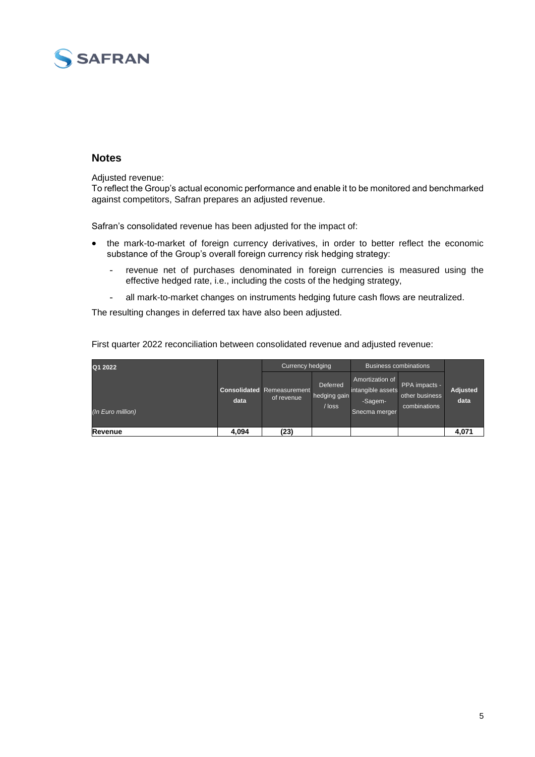

### **Notes**

Adjusted revenue:

To reflect the Group's actual economic performance and enable it to be monitored and benchmarked against competitors, Safran prepares an adjusted revenue.

Safran's consolidated revenue has been adjusted for the impact of:

- the mark-to-market of foreign currency derivatives, in order to better reflect the economic substance of the Group's overall foreign currency risk hedging strategy:
	- revenue net of purchases denominated in foreign currencies is measured using the effective hedged rate, i.e., including the costs of the hedging strategy,
	- all mark-to-market changes on instruments hedging future cash flows are neutralized.

The resulting changes in deferred tax have also been adjusted.

| Q1 2022           |      | Currency hedging<br><b>Business combinations</b> |                                             |                                                                  |                                                 |                         |
|-------------------|------|--------------------------------------------------|---------------------------------------------|------------------------------------------------------------------|-------------------------------------------------|-------------------------|
| (In Euro million) | data | <b>Consolidated Remeasurement</b><br>of revenue  | <b>Deferred</b><br>hedging gain<br>$/$ loss | Amortization of<br>intangible assets<br>-Sagem-<br>Snecma merger | PPA impacts -<br>other business<br>combinations | <b>Adjusted</b><br>data |

**Revenue 4,094 (23) 4,071**

First quarter 2022 reconciliation between consolidated revenue and adjusted revenue: